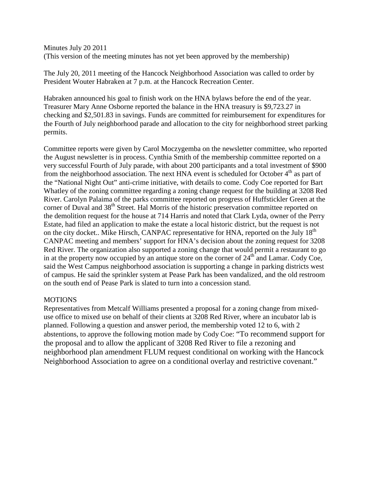Minutes July 20 2011 (This version of the meeting minutes has not yet been approved by the membership)

The July 20, 2011 meeting of the Hancock Neighborhood Association was called to order by President Wouter Habraken at 7 p.m. at the Hancock Recreation Center.

Habraken announced his goal to finish work on the HNA bylaws before the end of the year. Treasurer Mary Anne Osborne reported the balance in the HNA treasury is \$9,723.27 in checking and \$2,501.83 in savings. Funds are committed for reimbursement for expenditures for the Fourth of July neighborhood parade and allocation to the city for neighborhood street parking permits.

Committee reports were given by Carol Moczygemba on the newsletter committee, who reported the August newsletter is in process. Cynthia Smith of the membership committee reported on a very successful Fourth of July parade, with about 200 participants and a total investment of \$900 from the neighborhood association. The next HNA event is scheduled for October  $4<sup>th</sup>$  as part of the "National Night Out" anti-crime initiative, with details to come. Cody Coe reported for Bart Whatley of the zoning committee regarding a zoning change request for the building at 3208 Red River. Carolyn Palaima of the parks committee reported on progress of Huffstickler Green at the corner of Duval and 38<sup>th</sup> Street. Hal Morris of the historic preservation committee reported on the demolition request for the house at 714 Harris and noted that Clark Lyda, owner of the Perry Estate, had filed an application to make the estate a local historic district, but the request is not on the city docket.. Mike Hirsch, CANPAC representative for HNA, reported on the July 18<sup>th</sup> CANPAC meeting and members' support for HNA's decision about the zoning request for 3208 Red River. The organization also supported a zoning change that would permit a restaurant to go in at the property now occupied by an antique store on the corner of  $24<sup>th</sup>$  and Lamar. Cody Coe, said the West Campus neighborhood association is supporting a change in parking districts west of campus. He said the sprinkler system at Pease Park has been vandalized, and the old restroom on the south end of Pease Park is slated to turn into a concession stand.

## **MOTIONS**

Representatives from Metcalf Williams presented a proposal for a zoning change from mixeduse office to mixed use on behalf of their clients at 3208 Red River, where an incubator lab is planned. Following a question and answer period, the membership voted 12 to 6, with 2 abstentions, to approve the following motion made by Cody Coe: "To recommend support for the proposal and to allow the applicant of 3208 Red River to file a rezoning and neighborhood plan amendment FLUM request conditional on working with the Hancock Neighborhood Association to agree on a conditional overlay and restrictive covenant."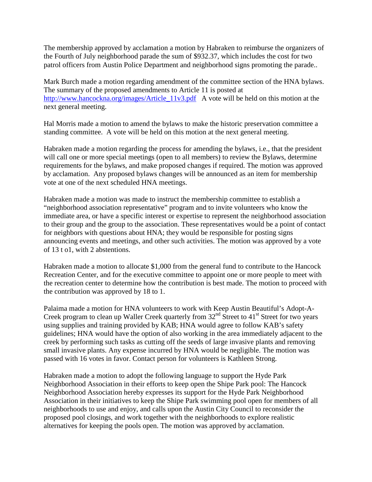The membership approved by acclamation a motion by Habraken to reimburse the organizers of the Fourth of July neighborhood parade the sum of \$932.37, which includes the cost for two patrol officers from Austin Police Department and neighborhood signs promoting the parade..

Mark Burch made a motion regarding amendment of the committee section of the HNA bylaws. The summary of the proposed amendments to Article 11 is posted at http://www.hancockna.org/images/Article 11v3.pdf A vote will be held on this motion at the next general meeting.

Hal Morris made a motion to amend the bylaws to make the historic preservation committee a standing committee. A vote will be held on this motion at the next general meeting.

Habraken made a motion regarding the process for amending the bylaws, i.e., that the president will call one or more special meetings (open to all members) to review the Bylaws, determine requirements for the bylaws, and make proposed changes if required. The motion was approved by acclamation. Any proposed bylaws changes will be announced as an item for membership vote at one of the next scheduled HNA meetings.

Habraken made a motion was made to instruct the membership committee to establish a "neighborhood association representative" program and to invite volunteers who know the immediate area, or have a specific interest or expertise to represent the neighborhood association to their group and the group to the association. These representatives would be a point of contact for neighbors with questions about HNA; they would be responsible for posting signs announcing events and meetings, and other such activities. The motion was approved by a vote of 13 t o1, with 2 abstentions.

Habraken made a motion to allocate \$1,000 from the general fund to contribute to the Hancock Recreation Center, and for the executive committee to appoint one or more people to meet with the recreation center to determine how the contribution is best made. The motion to proceed with the contribution was approved by 18 to 1.

Palaima made a motion for HNA volunteers to work with Keep Austin Beautiful's Adopt-A-Creek program to clean up Waller Creek quarterly from  $32<sup>nd</sup>$  Street to  $41<sup>st</sup>$  Street for two years using supplies and training provided by KAB; HNA would agree to follow KAB's safety guidelines; HNA would have the option of also working in the area immediately adjacent to the creek by performing such tasks as cutting off the seeds of large invasive plants and removing small invasive plants. Any expense incurred by HNA would be negligible. The motion was passed with 16 votes in favor. Contact person for volunteers is Kathleen Strong.

Habraken made a motion to adopt the following language to support the Hyde Park Neighborhood Association in their efforts to keep open the Shipe Park pool: The Hancock Neighborhood Association hereby expresses its support for the Hyde Park Neighborhood Association in their initiatives to keep the Shipe Park swimming pool open for members of all neighborhoods to use and enjoy, and calls upon the Austin City Council to reconsider the proposed pool closings, and work together with the neighborhoods to explore realistic alternatives for keeping the pools open. The motion was approved by acclamation.